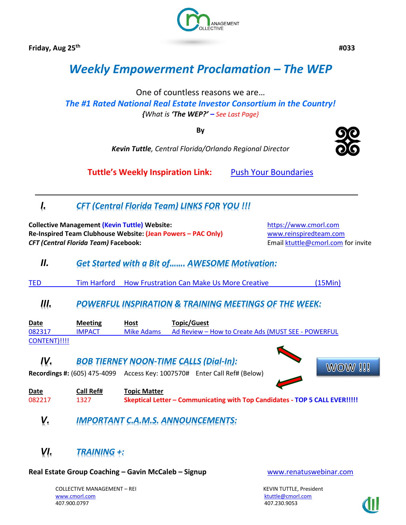**Friday, Aug 25th**



 **#033**

# *Weekly Empowerment Proclamation – The WEP*

One of countless reasons we are…

*The #1 Rated National Real Estate Investor Consortium in the Country! {What is 'The WEP?' – See Last Page}*

**By**

*Kevin Tuttle, Central Florida/Orlando Regional Director*

**Tuttle's Weekly Inspiration Link:** [Push Your Boundaries](https://www.linkedin.com/pulse/push-your-boundaries-kevin-tuttle)

# *I. CFT (Central Florida Team) LINKS FOR YOU !!!*

**Collective Management (Kevin Tuttle) Website:** [https://www.cmorl.com](https://www.cmorl.com/) **Re-Inspired Team Clubhouse Website: (Jean Powers – PAC Only)** [www.reinspiredteam.com](http://www.reinspiredteam.com/) **CFT (Central Florida Team) Facebook: Email [ktuttle@cmorl.com](mailto:ktuttle@cmorl.com) for invite** 

# *II. Get Started with a Bit of……. AWESOME Motivation:*

TED Tim Harford [How Frustration Can Make Us More](https://www.ted.com/talks/tim_harford_how_messy_problems_can_inspire_creativity) Creative (15Min)

### *III. POWERFUL INSPIRATION & TRAINING MEETINGS OF THE WEEK:*

| <b>Date</b>  | <b>Meeting</b> | <b>Host</b> | Topic/Guest                                        |
|--------------|----------------|-------------|----------------------------------------------------|
| 082317       | <b>IMPACT</b>  | Mike Adams  | Ad Review – How to Create Ads (MUST SEE - POWERFUL |
| CONTENT)!!!! |                |             |                                                    |

## *IV. BOB TIERNEY NOON-TIME CALLS (Dial-In):*

**Recordings #:** (605) 475-4099 Access Key: 1007570# Enter Call Ref# (Below)

**Date Call Ref# Topic Matter**  082217 1327 **Skeptical Letter – Communicating with Top Candidates - TOP 5 CALL EVER!!!!!**

# *V. IMPORTANT C.A.M.S. ANNOUNCEMENTS:*

# *VI. TRAINING +:*

**Real Estate Group Coaching – Gavin McCaleb – Signup** [www.renatuswebinar.com](http://www.renatuswebinar.com/)

COLLECTIVE MANAGEMENT – REI KEVIN TUTTLE, President [www.cmorl.com](http://www.cmorl.com/) [ktuttle@cmorl.com](mailto:ktuttle@cmorl.com) ktuttle@cmorl.com ktuttle@cmorl.com ktuttle@cmorl.com

407.230.9053



**WOW !!!**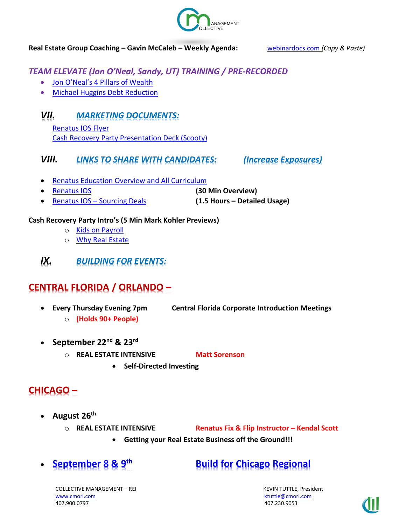

#### **Real Estate Group Coaching – Gavin McCaleb – Weekly Agenda:** [webinardocs.com](http://webinardocs.com/) *(Copy & Paste)*

# *TEAM ELEVATE (Jon O'Neal, Sandy, UT) TRAINING / PRE-RECORDED*

- [Jon O'Neal's 4 Pillars of Wealth](http://elevateyourinvesting.com/4pillars/)
- [Michael Huggins Debt Reduction](http://elevateyourinvesting.com/DebtReductionIntro/)

# *VII. MARKETING DOCUMENTS:*

[Renatus IOS Flyer](https://www.dropbox.com/s/3ahzkcphjk3mkou/RenatusIOSFlyer.pdf?dl=0) [Cash Recovery Party Presentation Deck \(Scooty\)](https://drive.google.com/file/d/0B1ttFL_DNQgZZXBOb0FOWTRseUk/view)

### *VIII. LINKS TO SHARE WITH CANDIDATES: (Increase Exposures)*

- [Renatus Education Overview and All Curriculum](http://www.myrenatus.com/)
- [Renatus IOS](http://www.iqinvestments.com/renatusios) **(30 Min Overview)**
- Renatus IOS [Sourcing Deals](http://www.iqinvestments.com/renatusios/sourcing-deals-with-renatus-ios/) **(1.5 Hours – Detailed Usage)**

#### **Cash Recovery Party Intro's (5 Min Mark Kohler Previews)**

- o [Kids on Payroll](https://vimeo.com/223545158)
- o [Why Real Estate](https://vimeo.com/223704825)
- *IX. BUILDING FOR EVENTS:*

# **CENTRAL FLORIDA / ORLANDO –**

- o **(Holds 90+ People)**
- **Every Thursday Evening 7pm Central Florida Corporate Introduction Meetings**
	-
- **September 22nd & 23rd**
	- o **REAL ESTATE INTENSIVE Matt Sorenson** 
		- **Self-Directed Investing**

# **CHICAGO –**

- **August 26th**
	-

o **REAL ESTATE INTENSIVE Renatus Fix & Flip Instructor – Kendal Scott**

- **Getting your Real Estate Business off the Ground!!!**
- 

# • **September 8 & 9th Build for Chicago Regional**

COLLECTIVE MANAGEMENT – REI KEVIN TUTTLE, President [www.cmorl.com](http://www.cmorl.com/) [ktuttle@cmorl.com](mailto:ktuttle@cmorl.com) ktuttle@cmorl.com ktuttle@cmorl.com 407.900.0797 407.230.9053

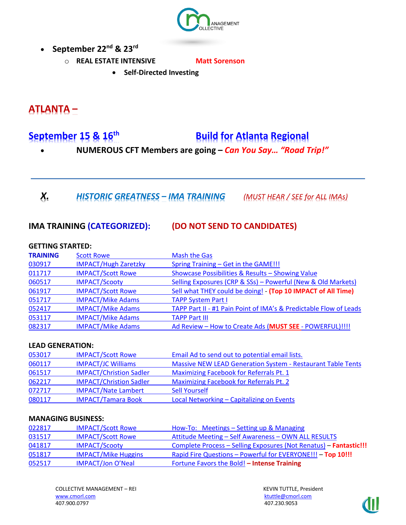

- **September 22nd & 23rd**
	- o **REAL ESTATE INTENSIVE Matt Sorenson** 
		- **Self-Directed Investing**

# **ATLANTA –**

# **September 15 & 16th Build for Atlanta Regional**

- **NUMEROUS CFT Members are going –** *Can You Say… "Road Trip!"*
- *X. HISTORIC GREATNESS – IMA TRAINING (MUST HEAR / SEE for ALL IMAs)*

### **IMA TRAINING (CATEGORIZED): (DO NOT SEND TO CANDIDATES)**

#### **GETTING STARTED:**

| <b>TRAINING</b> | <b>Scott Rowe</b>           | <b>Mash the Gas</b>                                               |
|-----------------|-----------------------------|-------------------------------------------------------------------|
| 030917          | <b>IMPACT/Hugh Zaretzky</b> | Spring Training - Get in the GAME!!!                              |
| 011717          | <b>IMPACT/Scott Rowe</b>    | Showcase Possibilities & Results - Showing Value                  |
| 060517          | <b>IMPACT/Scooty</b>        | Selling Exposures (CRP & SSs) - Powerful (New & Old Markets)      |
| 061917          | <b>IMPACT/Scott Rowe</b>    | Sell what THEY could be doing! - (Top 10 IMPACT of All Time)      |
| 051717          | <b>IMPACT/Mike Adams</b>    | <b>TAPP System Part I</b>                                         |
| 052417          | <b>IMPACT/Mike Adams</b>    | TAPP Part II - #1 Pain Point of IMA's & Predictable Flow of Leads |
| 053117          | <b>IMPACT/Mike Adams</b>    | <b>TAPP Part III</b>                                              |
| 082317          | <b>IMPACT/Mike Adams</b>    | Ad Review - How to Create Ads (MUST SEE - POWERFUL) !!!!          |

#### **LEAD GENERATION:**

| 053017 | <b>IMPACT/Scott Rowe</b>       | Email Ad to send out to potential email lists.                     |
|--------|--------------------------------|--------------------------------------------------------------------|
| 060117 | <b>IMPACT/JC Williams</b>      | <b>Massive NEW LEAD Generation System - Restaurant Table Tents</b> |
| 061517 | <b>IMPACT/Christion Sadler</b> | Maximizing Facebook for Referrals Pt. 1                            |
| 062217 | <b>IMPACT/Christion Sadler</b> | <b>Maximizing Facebook for Referrals Pt. 2</b>                     |
| 072717 | <b>IMPACT/Nate Lambert</b>     | <b>Sell Yourself</b>                                               |
| 080117 | <b>IMPACT/Tamara Book</b>      | Local Networking - Capitalizing on Events                          |

#### **MANAGING BUSINESS:**

| 022817 | <b>IMPACT/Scott Rowe</b>   | How-To: Meetings – Setting up & Managing                          |
|--------|----------------------------|-------------------------------------------------------------------|
| 031517 | <b>IMPACT/Scott Rowe</b>   | Attitude Meeting - Self Awareness - OWN ALL RESULTS               |
| 041817 | <b>IMPACT/Scooty</b>       | Complete Process - Selling Exposures (Not Renatus) - Fantastic!!! |
| 051817 | <b>IMPACT/Mike Huggins</b> | Rapid Fire Questions - Powerful for EVERYONE!!! - Top 10!!!       |
| 052517 | <b>IMPACT/Jon O'Neal</b>   | Fortune Favors the Bold! - Intense Training                       |

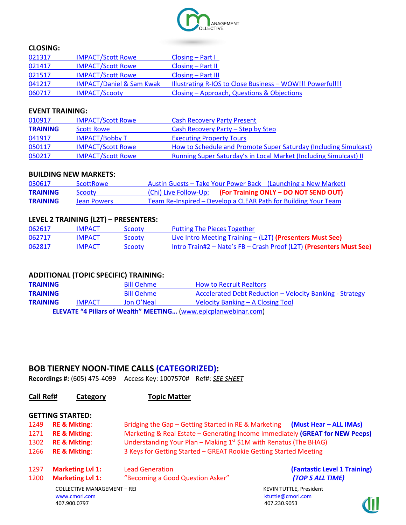

#### **CLOSING:**

| 021317 | <b>IMPACT/Scott Rowe</b>            | $\textsf{Closing} - \textsf{Part}$                        |
|--------|-------------------------------------|-----------------------------------------------------------|
| 021417 | <b>IMPACT/Scott Rowe</b>            | $\textsf{Closing} - \textsf{Part} \, \textsf{II}$         |
| 021517 | <b>IMPACT/Scott Rowe</b>            | $\textsf{Closing} - \textsf{Part}$ III                    |
| 041217 | <b>IMPACT/Daniel &amp; Sam Kwak</b> | Illustrating R-IOS to Close Business - WOW!!! Powerful!!! |
| 060717 | <b>IMPACT/Scooty</b>                | Closing – Approach, Questions & Objections                |

#### **EVENT TRAINING:**

| 010917          | <b>IMPACT/Scott Rowe</b> | <b>Cash Recovery Party Present</b>                                       |
|-----------------|--------------------------|--------------------------------------------------------------------------|
| <b>TRAINING</b> | <b>Scott Rowe</b>        | Cash Recovery Party – Step by Step                                       |
| 041917          | <b>IMPACT/Bobby T</b>    | <b>Executing Property Tours</b>                                          |
| 050117          | <b>IMPACT/Scott Rowe</b> | How to Schedule and Promote Super Saturday (Including Simulcast)         |
| 050217          | <b>IMPACT/Scott Rowe</b> | <b>Running Super Saturday's in Local Market (Including Simulcast) II</b> |

#### **BUILDING NEW MARKETS:**

| 030617          | <b>ScottRowe</b> | Austin Guests – Take Your Power Back (Launching a New Market)  |
|-----------------|------------------|----------------------------------------------------------------|
| <b>TRAINING</b> | Scooty           | (Chi) Live Follow-Up: (For Training ONLY - DO NOT SEND OUT)    |
| <b>TRAINING</b> | Jean Powers      | Team Re-Inspired - Develop a CLEAR Path for Building Your Team |

#### **LEVEL 2 TRAINING (L2T) – PRESENTERS:**

| 062617 | <b>IMPACT</b> | Scooty | Putting The Pieces Together                                         |
|--------|---------------|--------|---------------------------------------------------------------------|
| 062717 | <b>IMPACT</b> | Scooty | <b>Live Intro Meeting Training - (L2T) (Presenters Must See)</b>    |
| 062817 | <b>IMPACT</b> | Scooty | Intro Train#2 – Nate's FB – Crash Proof (L2T) (Presenters Must See) |

#### **ADDITIONAL (TOPIC SPECIFIC) TRAINING:**

**TRAINING** Bill Oehme How to Recruit Realtors **TRAINING** Bill Oehme [Accelerated Debt Reduction](https://www.youtube.com/watch?v=AqkrR3J-8X4&feature=youtu.be) – Velocity Banking - Strategy **TRAINING** IMPACT Jon O'Neal [Velocity Banking](http://bdg.adobeconnect.com/puini8xct97e/) – A Closing Tool **ELEVATE "4 Pillars of Wealth" MEETING…** [\(www.epicplanwebinar.com\)](http://www.epicplanwebinar.com/)

#### **BOB TIERNEY NOON-TIME CALLS (CATEGORIZED):**

**Recordings #:** (605) 475-4099 Access Key: 1007570# Ref#: *SEE SHEET*

| Call Ref# | Category                           | <b>Topic Matter</b>                                                           |                                |  |
|-----------|------------------------------------|-------------------------------------------------------------------------------|--------------------------------|--|
|           | <b>GETTING STARTED:</b>            |                                                                               |                                |  |
| 1249      | <b>RE &amp; Mkting:</b>            | Bridging the Gap - Getting Started in RE & Marketing (Must Hear - ALL IMAs)   |                                |  |
| 1271      | <b>RE &amp; Mkting:</b>            | Marketing & Real Estate - Generating Income Immediately (GREAT for NEW Peeps) |                                |  |
| 1302      | <b>RE &amp; Mkting:</b>            | Understanding Your Plan – Making $1st$ \$1M with Renatus (The BHAG)           |                                |  |
| 1266      | <b>RE &amp; Mkting:</b>            | 3 Keys for Getting Started - GREAT Rookie Getting Started Meeting             |                                |  |
| 1297      | <b>Marketing Lvl 1:</b>            | <b>Lead Generation</b>                                                        | (Fantastic Level 1 Training)   |  |
| 1200      | <b>Marketing Lvl 1:</b>            | "Becoming a Good Question Asker"                                              | (TOP 5 ALL TIME)               |  |
|           | <b>COLLECTIVE MANAGEMENT - REI</b> |                                                                               | <b>KEVIN TUTTLE, President</b> |  |
|           | www.cmorl.com                      |                                                                               | ktuttle@cmorl.com              |  |
|           | 407.900.0797                       |                                                                               | 407.230.9053                   |  |

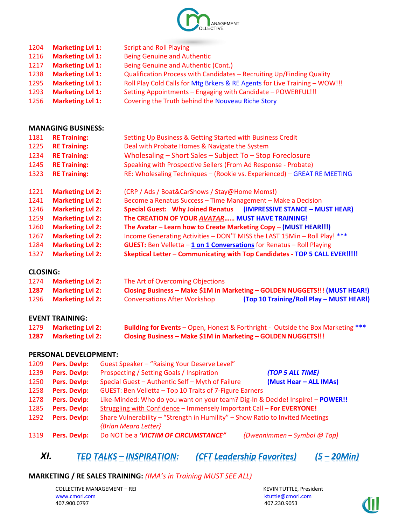

| 1204 | <b>Marketing Lvl 1:</b> | <b>Script and Roll Playing</b>                                             |
|------|-------------------------|----------------------------------------------------------------------------|
| 1216 | <b>Marketing Lvl 1:</b> | <b>Being Genuine and Authentic</b>                                         |
| 1217 | <b>Marketing Lvl 1:</b> | Being Genuine and Authentic (Cont.)                                        |
| 1238 | <b>Marketing Lvl 1:</b> | Qualification Process with Candidates - Recruiting Up/Finding Quality      |
| 1295 | <b>Marketing Lvl 1:</b> | Roll Play Cold Calls for Mtg Brkers & RE Agents for Live Training - WOW!!! |
| 1293 | <b>Marketing Lvl 1:</b> | Setting Appointments - Engaging with Candidate - POWERFUL!!!               |
| 1256 | <b>Marketing Lvl 1:</b> | Covering the Truth behind the Nouveau Riche Story                          |

#### **MANAGING BUSINESS:**

| 1181 | <b>RE Training:</b>     | Setting Up Business & Getting Started with Business Credit                      |  |  |
|------|-------------------------|---------------------------------------------------------------------------------|--|--|
| 1225 | <b>RE Training:</b>     | Deal with Probate Homes & Navigate the System                                   |  |  |
| 1234 | <b>RE Training:</b>     | Wholesaling - Short Sales - Subject To - Stop Foreclosure                       |  |  |
| 1245 | <b>RE Training:</b>     | Speaking with Prospective Sellers (From Ad Response - Probate)                  |  |  |
| 1323 | <b>RE Training:</b>     | RE: Wholesaling Techniques - (Rookie vs. Experienced) - GREAT RE MEETING        |  |  |
| 1221 | <b>Marketing Lvl 2:</b> | (CRP / Ads / Boat&CarShows / Stay@Home Moms!)                                   |  |  |
| 1241 | <b>Marketing Lvl 2:</b> | Become a Renatus Success - Time Management - Make a Decision                    |  |  |
| 1246 | <b>Marketing Lvl 2:</b> | Special Guest: Why Joined Renatus (IMPRESSIVE STANCE - MUST HEAR)               |  |  |
| 1259 | <b>Marketing Lvl 2:</b> | The CREATION OF YOUR AVATAR MUST HAVE TRAINING!                                 |  |  |
| 1260 | <b>Marketing Lvl 2:</b> | The Avatar - Learn how to Create Marketing Copy - (MUST HEAR!!!)                |  |  |
| 1267 | <b>Marketing Lvl 2:</b> | Income Generating Activities - DON'T MISS the LAST 15Min - Roll Play! ***       |  |  |
| 1284 | <b>Marketing Lvl 2:</b> | <b>GUEST:</b> Ben Velletta $-1$ on 1 Conversations for Renatus $-$ Roll Playing |  |  |

**CLOSING:**

| 1274 | <b>Marketing Lvl 2:</b> | The Art of Overcoming Objections    |                                                                            |
|------|-------------------------|-------------------------------------|----------------------------------------------------------------------------|
| 1287 | <b>Marketing Lvl 2:</b> |                                     | Closing Business - Make \$1M in Marketing - GOLDEN NUGGETS!!! (MUST HEAR!) |
| 1296 | <b>Marketing Lvl 2:</b> | <b>Conversations After Workshop</b> | (Top 10 Training/Roll Play - MUST HEAR!)                                   |

**Marketing Lvl 2: Skeptical Letter – Communicating with Top Candidates - TOP 5 CALL EVER!!!!!**

#### **EVENT TRAINING:**

| 1279 Marketing Lvl 2: | <b>Building for Events</b> - Open, Honest & Forthright - Outside the Box Marketing *** |
|-----------------------|----------------------------------------------------------------------------------------|
| 1287 Marketing Lvl 2: | Closing Business - Make \$1M in Marketing - GOLDEN NUGGETS!!!                          |

#### **PERSONAL DEVELOPMENT:**

| 1209 | <b>Pers. Devlp:</b> | Guest Speaker - "Raising Your Deserve Level"                                   |  |
|------|---------------------|--------------------------------------------------------------------------------|--|
| 1239 | Pers. Devlp:        | Prospecting / Setting Goals / Inspiration<br>(TOP 5 ALL TIME)                  |  |
| 1250 | Pers. Devlp:        | (Must Hear - ALL IMAs)<br>Special Guest - Authentic Self - Myth of Failure     |  |
| 1258 | <b>Pers. Devlp:</b> | GUEST: Ben Velletta - Top 10 Traits of 7-Figure Earners                        |  |
| 1278 | <b>Pers. Devlp:</b> | Like-Minded: Who do you want on your team? Dig-In & Decide! Inspire! - POWER!! |  |
| 1285 | Pers. Devlp:        | Struggling with Confidence - Immensely Important Call - For EVERYONE!          |  |
| 1292 | Pers. Devlp:        | Share Vulnerability - "Strength in Humility" - Show Ratio to Invited Meetings  |  |
|      |                     | {Brian Meara Letter}                                                           |  |
| 1319 | Pers. Devlp:        | Do NOT be a 'VICTIM OF CIRCUMSTANCE"<br>(Dwennimmen - Symbol @ Top)            |  |

# *XI. TED TALKS – INSPIRATION: (CFT Leadership Favorites) (5 – 20Min)*

#### **MARKETING / RE SALES TRAINING:** *(IMA's in Training MUST SEE ALL)*

COLLECTIVE MANAGEMENT – REI KEVIN TUTTLE, President [www.cmorl.com](http://www.cmorl.com/) [ktuttle@cmorl.com](mailto:ktuttle@cmorl.com) ktuttle@cmorl.com ktuttle@cmorl.com ktuttle@cmorl.com

407.230.9053

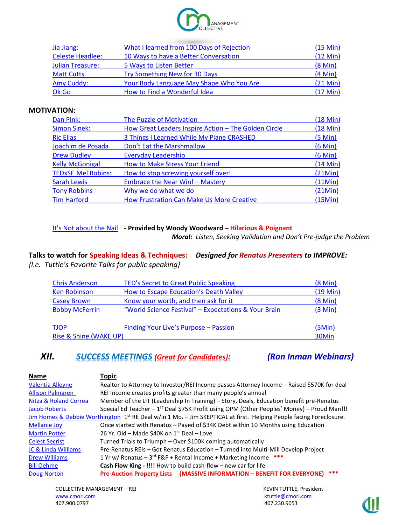

| Jia Jiang:              | What I learned from 100 Days of Rejection | (15 Min)           |
|-------------------------|-------------------------------------------|--------------------|
| <b>Celeste Headlee:</b> | 10 Ways to have a Better Conversation     | $(12 \text{ Min})$ |
| <b>Julian Treasure:</b> | 5 Ways to Listen Better                   | $(8$ Min $)$       |
| <b>Matt Cutts</b>       | Try Something New for 30 Days             | $(4$ Min $)$       |
| Amy Cuddy:              | Your Body Language May Shape Who You Are  | $(21$ Min $)$      |
| Ok Go                   | How to Find a Wonderful Idea              | $(17$ Min $)$      |

#### **MOTIVATION:**

| Dan Pink:                 | The Puzzle of Motivation                             | $(18$ Min $)$     |
|---------------------------|------------------------------------------------------|-------------------|
| <b>Simon Sinek:</b>       | How Great Leaders Inspire Action - The Golden Circle | $(18$ Min $)$     |
| <b>Ric Elias</b>          | 3 Things I Learned While My Plane CRASHED            | $(5 \text{ Min})$ |
| Joachim de Posada         | Don't Eat the Marshmallow                            | $(6$ Min $)$      |
| <b>Drew Dudley</b>        | <b>Everyday Leadership</b>                           | $(6$ Min $)$      |
| <b>Kelly McGonigal</b>    | <b>How to Make Stress Your Friend</b>                | $(14$ Min $)$     |
| <b>TEDxSF Mel Robins:</b> | How to stop screwing yourself over!                  | (21Min)           |
| <b>Sarah Lewis</b>        | Embrace the Near Win! - Mastery                      | (11Min)           |
| <b>Tony Robbins</b>       | Why we do what we do                                 | (21Min)           |
| <b>Tim Harford</b>        | <b>How Frustration Can Make Us More Creative</b>     | (15Min)           |

#### [It's Not about the Nail](https://www.youtube.com/watch?v=-4EDhdAHrOg) **- Provided by Woody Woodward – Hilarious & Poignant**

*Moral: Listen, Seeking Validation and Don't Pre-judge the Problem*

### **Talks to watch for Speaking Ideas & Techniques:** *Designed for Renatus Presenters to IMPROVE: {I.e. Tuttle's Favorite Talks for public speaking}*

| <b>Chris Anderson</b>           | TED's Secret to Great Public Speaking                | $(8 \text{ Min})$ |
|---------------------------------|------------------------------------------------------|-------------------|
| <b>Ken Robinson</b>             | How to Escape Education's Death Valley               | $(19$ Min $)$     |
| <b>Casey Brown</b>              | Know your worth, and then ask for it                 | $(8 \text{ Min})$ |
| <b>Bobby McFerrin</b>           | "World Science Festival" - Expectations & Your Brain | (3 Min)           |
| <b>TJOP</b>                     | Finding Your Live's Purpose - Passion                | (5Min)            |
| Rise & Shine (WAKE UP)<br>30Min |                                                      |                   |

### *XII. SUCCESS MEETINGS (Great for Candidates): (Ron Inman Webinars)*

| Topic                                                                                                                          |
|--------------------------------------------------------------------------------------------------------------------------------|
| Realtor to Attorney to Investor/REI Income passes Attorney Income - Raised \$570K for deal                                     |
| REI Income creates profits greater than many people's annual                                                                   |
| Member of the LIT (Leadership In Training) - Story, Deals, Education benefit pre-Renatus                                       |
| Special Ed Teacher – $1^{st}$ Deal \$75K Profit using OPM (Other Peoples' Money) – Proud Man!!!                                |
| Jim Homes & Debbie Worthington 1 <sup>st</sup> RE Deal w/in 1 Mo. - Jim SKEPTICAL at first. Helping People facing Foreclosure. |
| Once started with Renatus - Payed of \$34K Debt within 10 Months using Education                                               |
| 26 Yr. Old - Made \$40K on 1 <sup>st</sup> Deal - Love                                                                         |
| Turned Trials to Triumph - Over \$100K coming automatically                                                                    |
| Pre-Renatus REIs - Got Renatus Education - Turned into Multi-Mill Develop Project                                              |
| 1 Yr w/ Renatus $-3$ <sup>rd</sup> F&F + Rental Income + Marketing Income<br>***                                               |
| Cash Flow King - !!!! How to build cash-flow - new car for life                                                                |
| ***<br>Pre-Auction Property Lists (MASSIVE INFORMATION - BENEFIT FOR EVERYONE)                                                 |
|                                                                                                                                |

COLLECTIVE MANAGEMENT – REI KEVIN TUTTLE, President [www.cmorl.com](http://www.cmorl.com/) [ktuttle@cmorl.com](mailto:ktuttle@cmorl.com) ktuttle@cmorl.com ktuttle@cmorl.com ktuttle@cmorl.com 407.900.0797

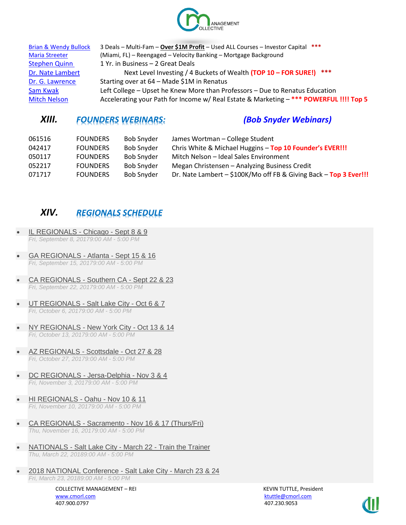

| <b>Brian &amp; Wendy Bullock</b> | 3 Deals - Multi-Fam - Over \$1M Profit - Used ALL Courses - Investor Capital ***       |
|----------------------------------|----------------------------------------------------------------------------------------|
| <b>Maria Streeter</b>            | (Miami, FL) - Reengaged - Velocity Banking - Mortgage Background                       |
| <b>Stephen Quinn</b>             | 1 Yr. in Business - 2 Great Deals                                                      |
| Dr. Nate Lambert                 | Next Level Investing / 4 Buckets of Wealth (TOP 10 - FOR SURE!) ***                    |
| Dr. G. Lawrence                  | Starting over at 64 - Made \$1M in Renatus                                             |
| Sam Kwak                         | Left College – Upset he Knew More than Professors – Due to Renatus Education           |
| <b>Mitch Nelson</b>              | Accelerating your Path for Income w/ Real Estate & Marketing - *** POWERFUL !!!! Top 5 |

## *XIII. FOUNDERS WEBINARS: (Bob Snyder Webinars)*

| 061516 | <b>FOUNDERS</b> | <b>Bob Snyder</b> | James Wortman - College Student                                       |
|--------|-----------------|-------------------|-----------------------------------------------------------------------|
| 042417 | <b>FOUNDERS</b> | <b>Bob Snyder</b> | Chris White & Michael Huggins - Top 10 Founder's EVER!!!              |
| 050117 | <b>FOUNDERS</b> | <b>Bob Snyder</b> | Mitch Nelson - Ideal Sales Environment                                |
| 052217 | <b>FOUNDERS</b> | <b>Bob Snyder</b> | Megan Christensen - Analyzing Business Credit                         |
| 071717 | <b>FOUNDERS</b> | <b>Bob Snyder</b> | Dr. Nate Lambert $-$ \$100K/Mo off FB & Giving Back $-$ Top 3 Ever!!! |

# *XIV. REGIONALS SCHEDULE*

- [IL REGIONALS -](http://www.nationwidebdg.com/il-regionals-chicago/19757595) Chicago Sept 8 & 9 *Fri, September 8, 20179:00 AM - 5:00 PM*
- [GA REGIONALS -](http://www.nationwidebdg.com/ga-regionals-atlanta-sept-15-16) Atlanta Sept 15 & 16 *Fri, September 15, 20179:00 AM - 5:00 PM*
- [CA REGIONALS -](http://www.nationwidebdg.com/ca-regionals-southern-ca-sept-22-23) Southern CA Sept 22 & 23 *Fri, September 22, 20179:00 AM - 5:00 PM*
- [UT REGIONALS -](http://www.nationwidebdg.com/ut-regionals-salt-lake-city-oct-6-7) Salt Lake City Oct 6 & 7 *Fri, October 6, 20179:00 AM - 5:00 PM*
- [NY REGIONALS -](http://www.nationwidebdg.com/ny-regionals-new-york-city-oct-13-14) New York City Oct 13 & 14 *Fri, October 13, 20179:00 AM - 5:00 PM*
- [AZ REGIONALS -](http://www.nationwidebdg.com/az-regionals-scottsdale-oct-27-28) Scottsdale Oct 27 & 28 *Fri, October 27, 20179:00 AM - 5:00 PM*
- [DC REGIONALS -](http://www.nationwidebdg.com/dc-regionals-jersa-delphia-nov-3-4) Jersa-Delphia Nov 3 & 4 *Fri, November 3, 20179:00 AM - 5:00 PM*
- [HI REGIONALS -](http://www.nationwidebdg.com/hi-regionals-oahu-nov-10-11) Oahu Nov 10 & 11 *Fri, November 10, 20179:00 AM - 5:00 PM*
- CA REGIONALS Sacramento [Nov 16 & 17 \(Thurs/Fri\)](http://www.nationwidebdg.com/ca-regionals-sacramento-nov-16-17-thursfri) *Thu, November 16, 20179:00 AM - 5:00 PM*
- NATIONALS Salt Lake City March 22 [Train the Trainer](http://www.nationwidebdg.com/nationals-salt-lake-city-march-22-train-the-trainer) *Thu, March 22, 20189:00 AM - 5:00 PM*
- [2018 NATIONAL Conference -](http://www.nationwidebdg.com/2018-national-conference-salt-lake-city-march-23-24) Salt Lake City March 23 & 24 *Fri, March 23, 20189:00 AM - 5:00 PM*

COLLECTIVE MANAGEMENT – REI KEVIN TUTTLE, President [www.cmorl.com](http://www.cmorl.com/) [ktuttle@cmorl.com](mailto:ktuttle@cmorl.com) ktuttle@cmorl.com ktuttle@cmorl.com ktuttle@cmorl.com

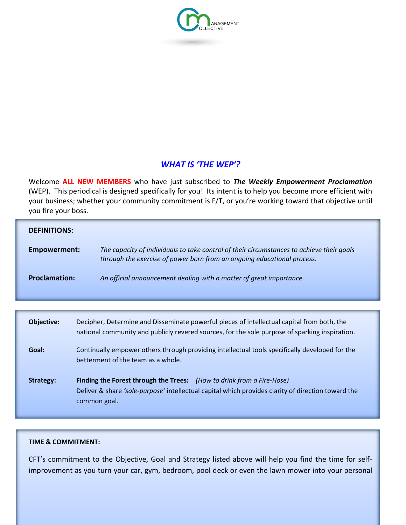

### *WHAT IS 'THE WEP'?*

Welcome **ALL NEW MEMBERS** who have just subscribed to *The Weekly Empowerment Proclamation* (WEP). This periodical is designed specifically for you! Its intent is to help you become more efficient with your business; whether your community commitment is F/T, or you're working toward that objective until you fire your boss.

| <b>DEFINITIONS:</b>  |                                                                                                                                                                      |
|----------------------|----------------------------------------------------------------------------------------------------------------------------------------------------------------------|
| Empowerment:         | The capacity of individuals to take control of their circumstances to achieve their goals<br>through the exercise of power born from an ongoing educational process. |
| <b>Proclamation:</b> | An official announcement dealing with a matter of great importance.                                                                                                  |

| <b>Objective:</b> | Decipher, Determine and Disseminate powerful pieces of intellectual capital from both, the<br>national community and publicly revered sources, for the sole purpose of sparking inspiration. |
|-------------------|----------------------------------------------------------------------------------------------------------------------------------------------------------------------------------------------|
| Goal:             | Continually empower others through providing intellectual tools specifically developed for the<br>betterment of the team as a whole.                                                         |
| Strategy:         | Finding the Forest through the Trees: (How to drink from a Fire-Hose)<br>Deliver & share 'sole-purpose' intellectual capital which provides clarity of direction toward the<br>common goal.  |

#### **TIME & COMMITMENT:**

CFT's commitment to the Objective, Goal and Strategy listed above will help you find the time for selfimprovement as you turn your car, gym, bedroom, pool deck or even the lawn mower into your personal